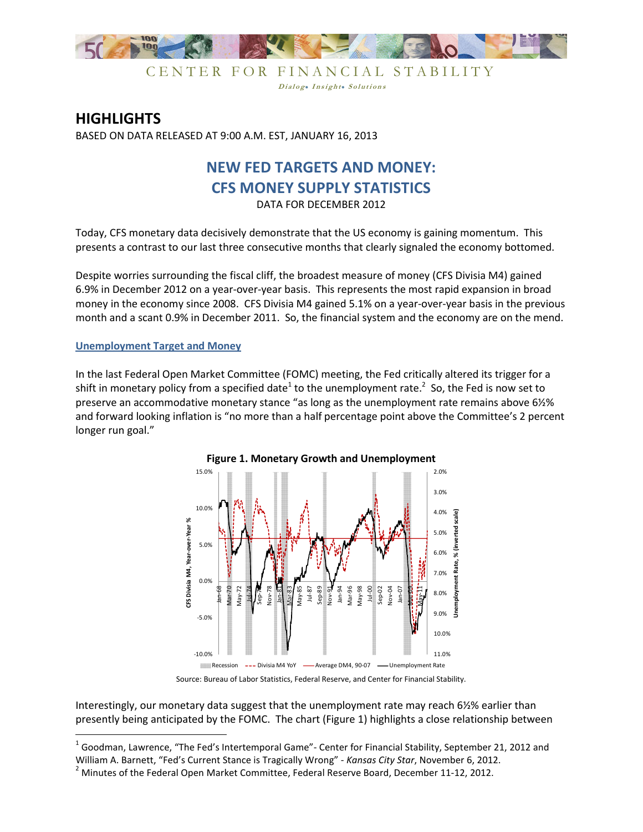

CENTER FOR FINANCIAL STABILITY Dialog. Insight. Solutions

# **HIGHLIGHTS**

BASED ON DATA RELEASED AT 9:00 A.M. EST, JANUARY 16, 2013

## **NEW FED TARGETS AND MONEY: CFS MONEY SUPPLY STATISTICS**  DATA FOR DECEMBER 2012

Today, CFS monetary data decisively demonstrate that the US economy is gaining momentum. This presents a contrast to our last three consecutive months that clearly signaled the economy bottomed.

Despite worries surrounding the fiscal cliff, the broadest measure of money (CFS Divisia M4) gained 6.9% in December 2012 on a year-over-year basis. This represents the most rapid expansion in broad money in the economy since 2008. CFS Divisia M4 gained 5.1% on a year-over-year basis in the previous month and a scant 0.9% in December 2011. So, the financial system and the economy are on the mend.

**Unemployment Target and Money** 

<u>.</u>

In the last Federal Open Market Committee (FOMC) meeting, the Fed critically altered its trigger for a shift in monetary policy from a specified date<sup>1</sup> to the unemployment rate.<sup>2</sup> So, the Fed is now set to preserve an accommodative monetary stance "as long as the unemployment rate remains above 6½% and forward looking inflation is "no more than a half percentage point above the Committee's 2 percent longer run goal."



# **Figure 1. Monetary Growth and Unemployment**

Source: Bureau of Labor Statistics, Federal Reserve, and Center for Financial Stability.

Interestingly, our monetary data suggest that the unemployment rate may reach 6½% earlier than presently being anticipated by the FOMC. The chart (Figure 1) highlights a close relationship between

 $^1$  Goodman, Lawrence, "The Fed's Intertemporal Game"- Center for Financial Stability, September 21, 2012 and

William A. Barnett, "Fed's Current Stance is Tragically Wrong" - *Kansas City Star*, November 6, 2012.

 $2$  Minutes of the Federal Open Market Committee, Federal Reserve Board, December 11-12, 2012.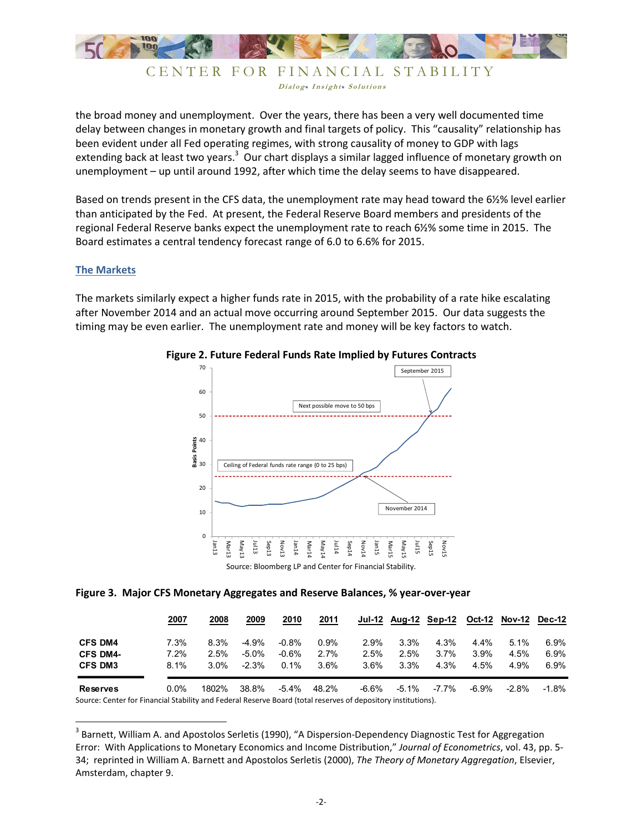

### CENTER FOR FINANCIAL STABILITY Dialog. Insight. Solutions

the broad money and unemployment. Over the years, there has been a very well documented time delay between changes in monetary growth and final targets of policy. This "causality" relationship has been evident under all Fed operating regimes, with strong causality of money to GDP with lags extending back at least two years.<sup>3</sup> Our chart displays a similar lagged influence of monetary growth on unemployment – up until around 1992, after which time the delay seems to have disappeared.

Based on trends present in the CFS data, the unemployment rate may head toward the 6½% level earlier than anticipated by the Fed. At present, the Federal Reserve Board members and presidents of the regional Federal Reserve banks expect the unemployment rate to reach 6½% some time in 2015. The Board estimates a central tendency forecast range of 6.0 to 6.6% for 2015.

#### **The Markets**

.<br>-

The markets similarly expect a higher funds rate in 2015, with the probability of a rate hike escalating after November 2014 and an actual move occurring around September 2015. Our data suggests the timing may be even earlier. The unemployment rate and money will be key factors to watch.



#### **Figure 2. Future Federal Funds Rate Implied by Futures Contracts**

#### **Figure 3. Major CFS Monetary Aggregates and Reserve Balances, % year-over-year**

|                            | 2007    | 2008    | 2009     | 2010     | 2011    |         |         | Jul-12 Aug-12 Sep-12 |         | Oct-12 Nov-12 Dec-12 |          |
|----------------------------|---------|---------|----------|----------|---------|---------|---------|----------------------|---------|----------------------|----------|
| <b>CFS DM4</b>             | 7.3%    | 8.3%    | -4.9%    | $-0.8\%$ | $0.9\%$ | 2.9%    | $3.3\%$ | 4.3%                 | $4.4\%$ | $5.1\%$              | 6.9%     |
| <b>CFS DM4-</b>            | 7.2%    | $2.5\%$ | $-5.0\%$ | $-0.6%$  | 2.7%    | 2.5%    | 2.5%    | $3.7\%$              | $3.9\%$ | 4.5%                 | $6.9\%$  |
| <b>CFS DM3</b>             | $8.1\%$ | $3.0\%$ | $-2.3%$  | $0.1\%$  | $3.6\%$ | $3.6\%$ | $3.3\%$ | 4.3%                 | $4.5\%$ | 4.9%                 | $6.9\%$  |
| <b>Reserves</b><br>- - - - | $0.0\%$ | 1802%   | 38.8%    | -5.4%    | 48.2%   | -6.6%   | -5.1%   | -7.7%                | -6.9%   | $-2.8\%$             | $-1.8\%$ |

Source: Center for Financial Stability and Federal Reserve Board (total reserves of depository institutions).

 $3$  Barnett, William A. and Apostolos Serletis (1990), "A Dispersion-Dependency Diagnostic Test for Aggregation Error: With Applications to Monetary Economics and Income Distribution," *Journal of Econometrics*, vol. 43, pp. 5- 34; reprinted in William A. Barnett and Apostolos Serletis (2000), *The Theory of Monetary Aggregation*, Elsevier, Amsterdam, chapter 9.